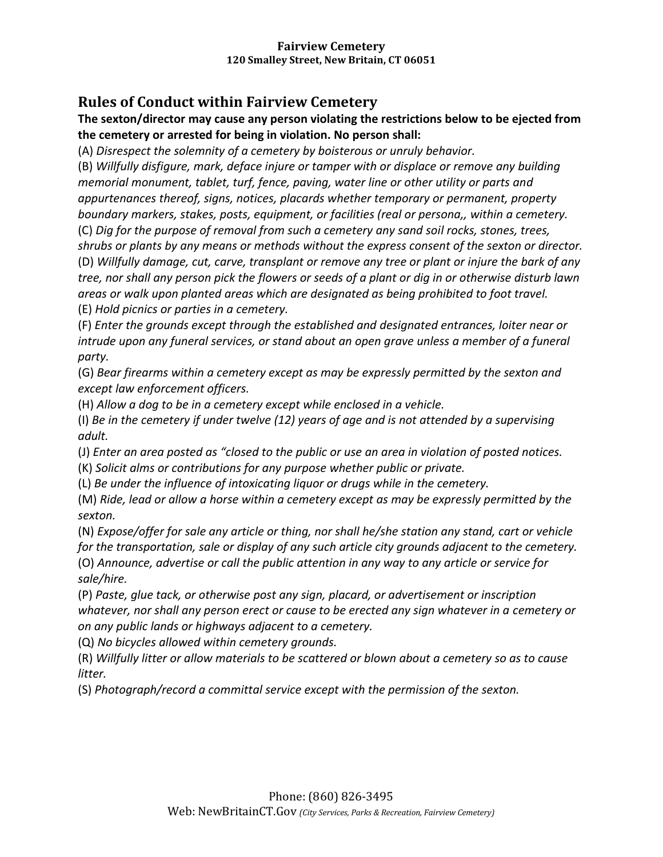# **Rules of Conduct within Fairview Cemetery**

**The sexton/director may cause any person violating the restrictions below to be ejected from the cemetery or arrested for being in violation. No person shall:** 

(A) *Disrespect the solemnity of a cemetery by boisterous or unruly behavior.* 

(B) *Willfully disfigure, mark, deface injure or tamper with or displace or remove any building memorial monument, tablet, turf, fence, paving, water line or other utility or parts and appurtenances thereof, signs, notices, placards whether temporary or permanent, property boundary markers, stakes, posts, equipment, or facilities (real or persona,, within a cemetery.*  (C) *Dig for the purpose of removal from such a cemetery any sand soil rocks, stones, trees, shrubs or plants by any means or methods without the express consent of the sexton or director.*  (D) *Willfully damage, cut, carve, transplant or remove any tree or plant or injure the bark of any* 

*tree, nor shall any person pick the flowers or seeds of a plant or dig in or otherwise disturb lawn areas or walk upon planted areas which are designated as being prohibited to foot travel.*  (E) *Hold picnics or parties in a cemetery.* 

(F) *Enter the grounds except through the established and designated entrances, loiter near or intrude upon any funeral services, or stand about an open grave unless a member of a funeral party.* 

(G) *Bear firearms within a cemetery except as may be expressly permitted by the sexton and except law enforcement officers.* 

(H) *Allow a dog to be in a cemetery except while enclosed in a vehicle.* 

(I) *Be in the cemetery if under twelve (12) years of age and is not attended by a supervising adult.* 

(J) *Enter an area posted as "closed to the public or use an area in violation of posted notices.* 

(K) *Solicit alms or contributions for any purpose whether public or private.* 

(L) *Be under the influence of intoxicating liquor or drugs while in the cemetery.* 

(M) *Ride, lead or allow a horse within a cemetery except as may be expressly permitted by the sexton.* 

(N) *Expose/offer for sale any article or thing, nor shall he/she station any stand, cart or vehicle for the transportation, sale or display of any such article city grounds adjacent to the cemetery.* 

(O) *Announce, advertise or call the public attention in any way to any article or service for sale/hire.* 

(P) *Paste, glue tack, or otherwise post any sign, placard, or advertisement or inscription whatever, nor shall any person erect or cause to be erected any sign whatever in a cemetery or on any public lands or highways adjacent to a cemetery.* 

(Q) *No bicycles allowed within cemetery grounds.* 

(R) *Willfully litter or allow materials to be scattered or blown about a cemetery so as to cause litter.* 

(S) *Photograph/record a committal service except with the permission of the sexton.*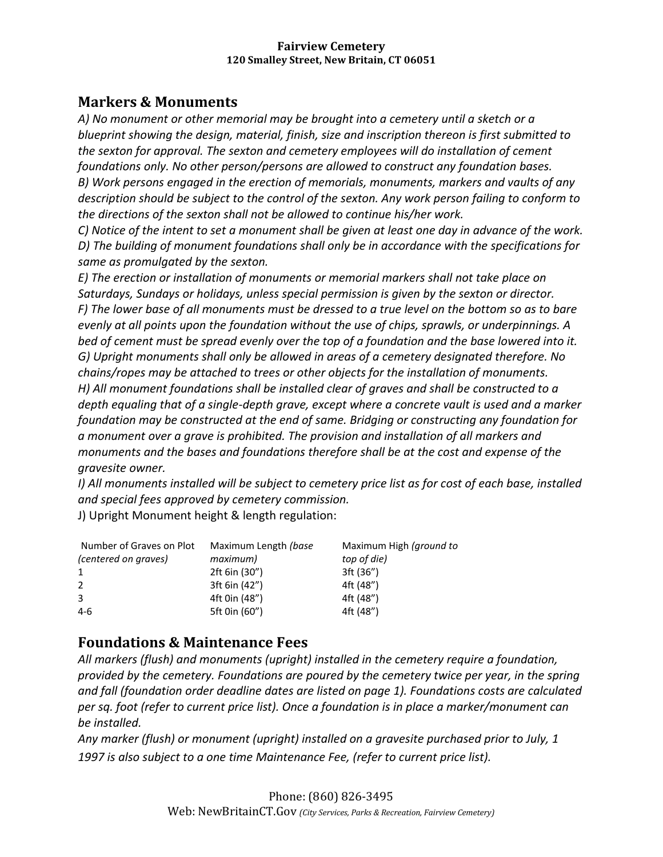# **Markers & Monuments**

*A) No monument or other memorial may be brought into a cemetery until a sketch or a blueprint showing the design, material, finish, size and inscription thereon is first submitted to the sexton for approval. The sexton and cemetery employees will do installation of cement foundations only. No other person/persons are allowed to construct any foundation bases. B) Work persons engaged in the erection of memorials, monuments, markers and vaults of any description should be subject to the control of the sexton. Any work person failing to conform to the directions of the sexton shall not be allowed to continue his/her work.* 

*C) Notice of the intent to set a monument shall be given at least one day in advance of the work. D) The building of monument foundations shall only be in accordance with the specifications for same as promulgated by the sexton.* 

*E) The erection or installation of monuments or memorial markers shall not take place on Saturdays, Sundays or holidays, unless special permission is given by the sexton or director. F) The lower base of all monuments must be dressed to a true level on the bottom so as to bare evenly at all points upon the foundation without the use of chips, sprawls, or underpinnings. A bed of cement must be spread evenly over the top of a foundation and the base lowered into it. G) Upright monuments shall only be allowed in areas of a cemetery designated therefore. No chains/ropes may be attached to trees or other objects for the installation of monuments. H) All monument foundations shall be installed clear of graves and shall be constructed to a depth equaling that of a single-depth grave, except where a concrete vault is used and a marker foundation may be constructed at the end of same. Bridging or constructing any foundation for a monument over a grave is prohibited. The provision and installation of all markers and monuments and the bases and foundations therefore shall be at the cost and expense of the gravesite owner.* 

*I) All monuments installed will be subject to cemetery price list as for cost of each base, installed and special fees approved by cemetery commission.* 

J) Upright Monument height & length regulation:

| Number of Graves on Plot | Maximum Length (base | Maximum High (ground to |
|--------------------------|----------------------|-------------------------|
| (centered on graves)     | maximum)             | top of die)             |
| 1                        | 2ft 6in (30")        | 3ft (36")               |
| 2                        | 3ft 6in (42")        | 4ft (48")               |
| 3                        | 4ft 0in (48")        | 4ft (48")               |
| 4-6                      | 5ft 0in (60")        | 4ft (48")               |

## **Foundations & Maintenance Fees**

*All markers (flush) and monuments (upright) installed in the cemetery require a foundation, provided by the cemetery. Foundations are poured by the cemetery twice per year, in the spring and fall (foundation order deadline dates are listed on page 1). Foundations costs are calculated per sq. foot (refer to current price list). Once a foundation is in place a marker/monument can be installed.* 

*Any marker (flush) or monument (upright) installed on a gravesite purchased prior to July, 1 1997 is also subject to a one time Maintenance Fee, (refer to current price list).*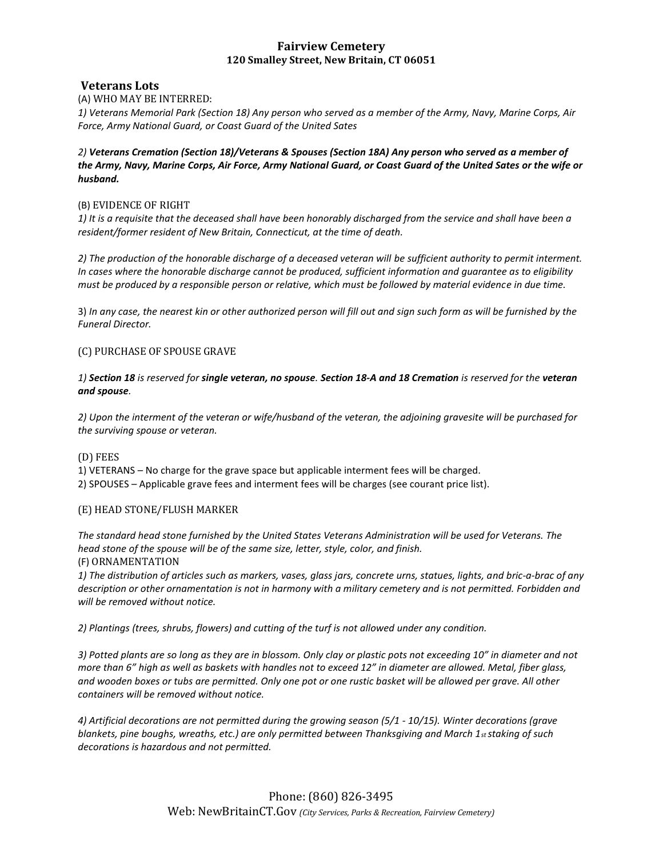#### **Veterans Lots**

(A) WHO MAY BE INTERRED:

*1) Veterans Memorial Park (Section 18) Any person who served as a member of the Army, Navy, Marine Corps, Air Force, Army National Guard, or Coast Guard of the United Sates* 

*2) Veterans Cremation (Section 18)/Veterans & Spouses (Section 18A) Any person who served as a member of the Army, Navy, Marine Corps, Air Force, Army National Guard, or Coast Guard of the United Sates or the wife or husband.* 

#### (B) EVIDENCE OF RIGHT

*1) It is a requisite that the deceased shall have been honorably discharged from the service and shall have been a resident/former resident of New Britain, Connecticut, at the time of death.* 

*2) The production of the honorable discharge of a deceased veteran will be sufficient authority to permit interment. In cases where the honorable discharge cannot be produced, sufficient information and guarantee as to eligibility must be produced by a responsible person or relative, which must be followed by material evidence in due time.* 

3) *In any case, the nearest kin or other authorized person will fill out and sign such form as will be furnished by the Funeral Director.* 

#### (C) PURCHASE OF SPOUSE GRAVE

*1) Section 18 is reserved for single veteran, no spouse. Section 18-A and 18 Cremation is reserved for the veteran and spouse.* 

*2) Upon the interment of the veteran or wife/husband of the veteran, the adjoining gravesite will be purchased for the surviving spouse or veteran.* 

(D) FEES

1) VETERANS – No charge for the grave space but applicable interment fees will be charged.

2) SPOUSES – Applicable grave fees and interment fees will be charges (see courant price list).

#### (E) HEAD STONE/FLUSH MARKER

*The standard head stone furnished by the United States Veterans Administration will be used for Veterans. The head stone of the spouse will be of the same size, letter, style, color, and finish.*  (F) ORNAMENTATION

*1) The distribution of articles such as markers, vases, glass jars, concrete urns, statues, lights, and bric-a-brac of any description or other ornamentation is not in harmony with a military cemetery and is not permitted. Forbidden and will be removed without notice.* 

*2) Plantings (trees, shrubs, flowers) and cutting of the turf is not allowed under any condition.* 

*3) Potted plants are so long as they are in blossom. Only clay or plastic pots not exceeding 10" in diameter and not more than 6" high as well as baskets with handles not to exceed 12" in diameter are allowed. Metal, fiber glass, and wooden boxes or tubs are permitted. Only one pot or one rustic basket will be allowed per grave. All other containers will be removed without notice.* 

*4) Artificial decorations are not permitted during the growing season (5/1 - 10/15). Winter decorations (grave blankets, pine boughs, wreaths, etc.) are only permitted between Thanksgiving and March 1st staking of such decorations is hazardous and not permitted.*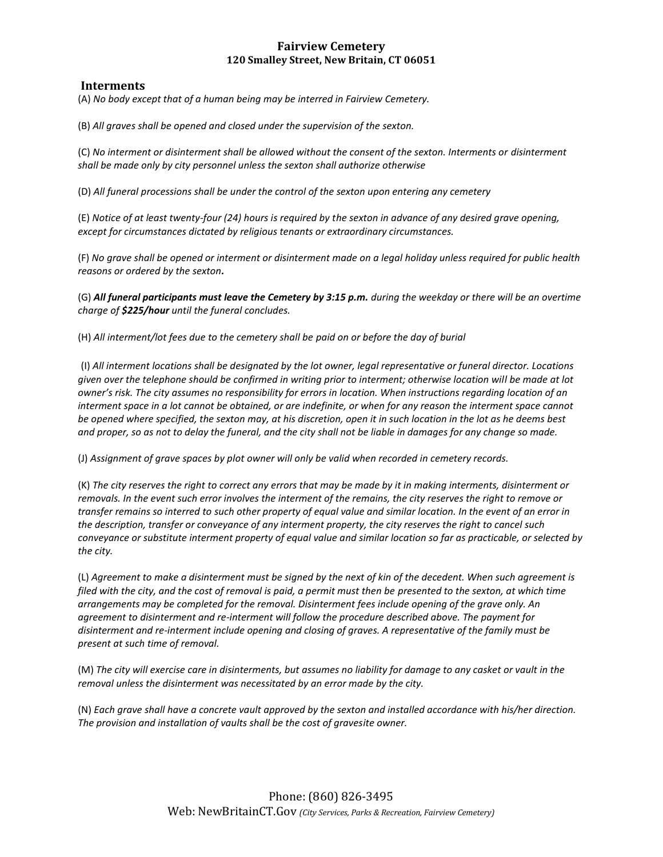#### **Interments**

(A) *No body except that of a human being may be interred in Fairview Cemetery.* 

(B) *All graves shall be opened and closed under the supervision of the sexton.* 

(C) *No interment or disinterment shall be allowed without the consent of the sexton. Interments or disinterment shall be made only by city personnel unless the sexton shall authorize otherwise* 

(D) *All funeral processions shall be under the control of the sexton upon entering any cemetery* 

(E) *Notice of at least twenty-four (24) hours is required by the sexton in advance of any desired grave opening, except for circumstances dictated by religious tenants or extraordinary circumstances.* 

(F) *No grave shall be opened or interment or disinterment made on a legal holiday unless required for public health reasons or ordered by the sexton.* 

(G) *All funeral participants must leave the Cemetery by 3:15 p.m. during the weekday or there will be an overtime charge of \$225/hour until the funeral concludes.* 

(H) *All interment/lot fees due to the cemetery shall be paid on or before the day of burial* 

(I) *All interment locations shall be designated by the lot owner, legal representative or funeral director. Locations given over the telephone should be confirmed in writing prior to interment; otherwise location will be made at lot owner's risk. The city assumes no responsibility for errors in location. When instructions regarding location of an interment space in a lot cannot be obtained, or are indefinite, or when for any reason the interment space cannot be opened where specified, the sexton may, at his discretion, open it in such location in the lot as he deems best and proper, so as not to delay the funeral, and the city shall not be liable in damages for any change so made.* 

(J) *Assignment of grave spaces by plot owner will only be valid when recorded in cemetery records.* 

(K) *The city reserves the right to correct any errors that may be made by it in making interments, disinterment or removals. In the event such error involves the interment of the remains, the city reserves the right to remove or transfer remains so interred to such other property of equal value and similar location. In the event of an error in the description, transfer or conveyance of any interment property, the city reserves the right to cancel such conveyance or substitute interment property of equal value and similar location so far as practicable, or selected by the city.* 

(L) *Agreement to make a disinterment must be signed by the next of kin of the decedent. When such agreement is filed with the city, and the cost of removal is paid, a permit must then be presented to the sexton, at which time arrangements may be completed for the removal. Disinterment fees include opening of the grave only. An agreement to disinterment and re-interment will follow the procedure described above. The payment for disinterment and re-interment include opening and closing of graves. A representative of the family must be present at such time of removal.* 

(M) *The city will exercise care in disinterments, but assumes no liability for damage to any casket or vault in the removal unless the disinterment was necessitated by an error made by the city.* 

(N) *Each grave shall have a concrete vault approved by the sexton and installed accordance with his/her direction. The provision and installation of vaults shall be the cost of gravesite owner.*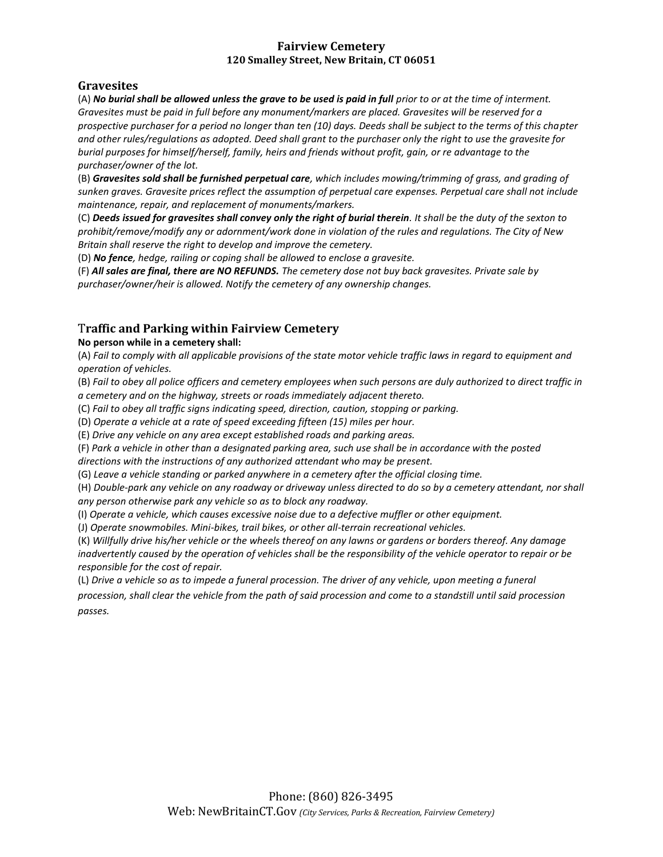## **Gravesites**

(A) **No burial shall be allowed unless the grave to be used is paid in full** prior to or at the time of interment. *Gravesites must be paid in full before any monument/markers are placed. Gravesites will be reserved for a prospective purchaser for a period no longer than ten (10) days. Deeds shall be subject to the terms of this chapter and other rules/regulations as adopted. Deed shall grant to the purchaser only the right to use the gravesite for burial purposes for himself/herself, family, heirs and friends without profit, gain, or re advantage to the purchaser/owner of the lot.* 

(B) *Gravesites sold shall be furnished perpetual care, which includes mowing/trimming of grass, and grading of sunken graves. Gravesite prices reflect the assumption of perpetual care expenses. Perpetual care shall not include maintenance, repair, and replacement of monuments/markers.* 

(C) *Deeds issued for gravesites shall convey only the right of burial therein. It shall be the duty of the sexton to prohibit/remove/modify any or adornment/work done in violation of the rules and regulations. The City of New Britain shall reserve the right to develop and improve the cemetery.* 

(D) *No fence, hedge, railing or coping shall be allowed to enclose a gravesite.* 

(F) *All sales are final, there are NO REFUNDS. The cemetery dose not buy back gravesites. Private sale by purchaser/owner/heir is allowed. Notify the cemetery of any ownership changes.* 

## T**raffic and Parking within Fairview Cemetery**

#### **No person while in a cemetery shall:**

(A) *Fail to comply with all applicable provisions of the state motor vehicle traffic laws in regard to equipment and operation of vehicles.* 

(B) *Fail to obey all police officers and cemetery employees when such persons are duly authorized to direct traffic in a cemetery and on the highway, streets or roads immediately adjacent thereto.* 

(C) *Fail to obey all traffic signs indicating speed, direction, caution, stopping or parking.* 

(D) *Operate a vehicle at a rate of speed exceeding fifteen (15) miles per hour.* 

(E) *Drive any vehicle on any area except established roads and parking areas.* 

(F) *Park a vehicle in other than a designated parking area, such use shall be in accordance with the posted* 

*directions with the instructions of any authorized attendant who may be present.* 

(G) *Leave a vehicle standing or parked anywhere in a cemetery after the official closing time.* 

(H) *Double-park any vehicle on any roadway or driveway unless directed to do so by a cemetery attendant, nor shall any person otherwise park any vehicle so as to block any roadway.* 

(I) *Operate a vehicle, which causes excessive noise due to a defective muffler or other equipment.* 

(J) *Operate snowmobiles. Mini-bikes, trail bikes, or other all-terrain recreational vehicles.* 

(K) *Willfully drive his/her vehicle or the wheels thereof on any lawns or gardens or borders thereof. Any damage inadvertently caused by the operation of vehicles shall be the responsibility of the vehicle operator to repair or be responsible for the cost of repair.* 

(L) *Drive a vehicle so as to impede a funeral procession. The driver of any vehicle, upon meeting a funeral procession, shall clear the vehicle from the path of said procession and come to a standstill until said procession passes.*